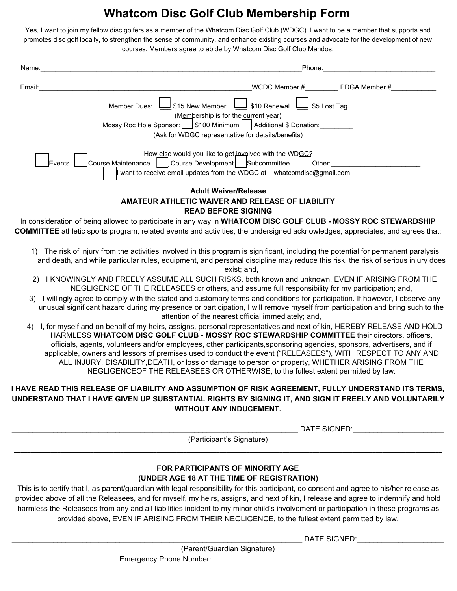# **Whatcom Disc Golf Club Membership Form**

Yes, I want to join my fellow disc golfers as a member of the Whatcom Disc Golf Club (WDGC). I want to be a member that supports and promotes disc golf locally, to strengthen the sense of community, and enhance existing courses and advocate for the development of new courses. Members agree to abide by Whatcom Disc Golf Club Mandos.

| Name:                                                                  | Phone:                                                                    |  |  |
|------------------------------------------------------------------------|---------------------------------------------------------------------------|--|--|
| Email:                                                                 | WCDC Member #<br>PDGA Member #                                            |  |  |
|                                                                        | $\Box$ \$10 Renewal L<br>\$15 New Member<br>\$5 Lost Tag<br>Member Dues:  |  |  |
| (Membership is for the current year)                                   |                                                                           |  |  |
| Mossy Roc Hole Sponsor:     \$100 Minimum  <br>Additional \$ Donation: |                                                                           |  |  |
| (Ask for WDGC representative for details/benefits)                     |                                                                           |  |  |
|                                                                        |                                                                           |  |  |
| How else would you like to get involved with the WDGC?                 |                                                                           |  |  |
| <b>IEvents</b>                                                         | Course Development Subcommittee<br>Course Maintenance<br><b>Other:</b>    |  |  |
|                                                                        | I want to receive email updates from the WDGC at : whatcomdisc@gmail.com. |  |  |
| Adult WaivorDologoo                                                    |                                                                           |  |  |

#### **Adult Waiver/Release AMATEUR ATHLETIC WAIVER AND RELEASE OF LIABILITY READ BEFORE SIGNING**

In consideration of being allowed to participate in any way in **WHATCOM DISC GOLF CLUB - MOSSY ROC STEWARDSHIP COMMITTEE** athletic sports program, related events and activities, the undersigned acknowledges, appreciates, and agrees that:

- 1) The risk of injury from the activities involved in this program is significant, including the potential for permanent paralysis and death, and while particular rules, equipment, and personal discipline may reduce this risk, the risk of serious injury does exist; and,
- 2) I KNOWINGLY AND FREELY ASSUME ALL SUCH RISKS, both known and unknown, EVEN IF ARISING FROM THE NEGLIGENCE OF THE RELEASEES or others, and assume full responsibility for my participation; and,
- 3) I willingly agree to comply with the stated and customary terms and conditions for participation. If,however, I observe any unusual significant hazard during my presence or participation, I will remove myself from participation and bring such to the attention of the nearest official immediately; and,
- 4) I, for myself and on behalf of my heirs, assigns, personal representatives and next of kin, HEREBY RELEASE AND HOLD HARMLESS **WHATCOM DISC GOLF CLUB - MOSSY ROC STEWARDSHIP COMMITTEE** their directors, officers, officials, agents, volunteers and/or employees, other participants,sponsoring agencies, sponsors, advertisers, and if applicable, owners and lessors of premises used to conduct the event ("RELEASEES"), WITH RESPECT TO ANY AND ALL INJURY, DISABILITY,DEATH, or loss or damage to person or property, WHETHER ARISING FROM THE NEGLIGENCEOF THE RELEASEES OR OTHERWISE, to the fullest extent permitted by law.

## **I HAVE READ THIS RELEASE OF LIABILITY AND ASSUMPTION OF RISK AGREEMENT, FULLY UNDERSTAND ITS TERMS, UNDERSTAND THAT I HAVE GIVEN UP SUBSTANTIAL RIGHTS BY SIGNING IT, AND SIGN IT FREELY AND VOLUNTARILY WITHOUT ANY INDUCEMENT.**

DATE SIGNED:  $\Box$ 

(Participant's Signature) **\_\_\_\_\_\_\_\_\_\_\_\_\_\_\_\_\_\_\_\_\_\_\_\_\_\_\_\_\_\_\_\_\_\_\_\_\_\_\_\_\_\_\_\_\_\_\_\_\_\_\_\_\_\_\_\_\_\_\_\_\_\_\_\_\_\_\_\_\_\_\_\_\_\_\_\_\_\_\_\_\_\_\_\_\_\_\_\_\_\_\_\_\_\_\_\_\_\_\_\_\_\_\_\_\_\_\_\_\_\_\_\_\_\_\_\_\_\_\_\_\_\_\_\_\_\_\_\_\_**

## **FOR PARTICIPANTS OF MINORITY AGE (UNDER AGE 18 AT THE TIME OF REGISTRATION)**

This is to certify that I, as parent/guardian with legal responsibility for this participant, do consent and agree to his/her release as provided above of all the Releasees, and for myself, my heirs, assigns, and next of kin, I release and agree to indemnify and hold harmless the Releasees from any and all liabilities incident to my minor child's involvement or participation in these programs as provided above, EVEN IF ARISING FROM THEIR NEGLIGENCE, to the fullest extent permitted by law.

DATE SIGNED:  $\Box$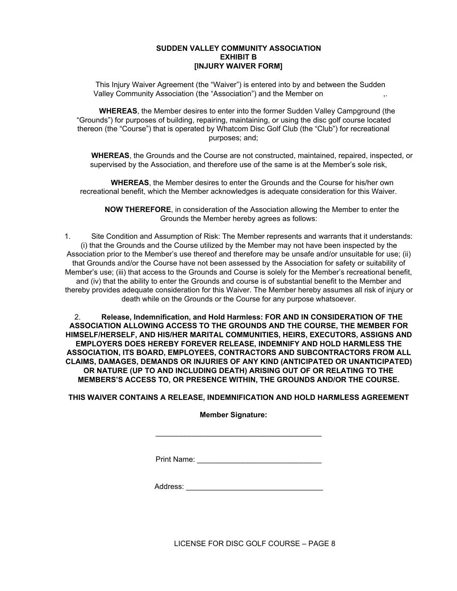#### **SUDDEN VALLEY COMMUNITY ASSOCIATION EXHIBIT B [INJURY WAIVER FORM]**

This Injury Waiver Agreement (the "Waiver") is entered into by and between the Sudden Valley Community Association (the "Association") and the Member on

**WHEREAS**, the Member desires to enter into the former Sudden Valley Campground (the "Grounds") for purposes of building, repairing, maintaining, or using the disc golf course located thereon (the "Course") that is operated by Whatcom Disc Golf Club (the "Club") for recreational purposes; and;

**WHEREAS**, the Grounds and the Course are not constructed, maintained, repaired, inspected, or supervised by the Association, and therefore use of the same is at the Member's sole risk,

**WHEREAS**, the Member desires to enter the Grounds and the Course for his/her own recreational benefit, which the Member acknowledges is adequate consideration for this Waiver.

**NOW THEREFORE**, in consideration of the Association allowing the Member to enter the Grounds the Member hereby agrees as follows:

1. Site Condition and Assumption of Risk: The Member represents and warrants that it understands: (i) that the Grounds and the Course utilized by the Member may not have been inspected by the Association prior to the Member's use thereof and therefore may be unsafe and/or unsuitable for use; (ii) that Grounds and/or the Course have not been assessed by the Association for safety or suitability of Member's use; (iii) that access to the Grounds and Course is solely for the Member's recreational benefit, and (iv) that the ability to enter the Grounds and course is of substantial benefit to the Member and thereby provides adequate consideration for this Waiver. The Member hereby assumes all risk of injury or death while on the Grounds or the Course for any purpose whatsoever.

2. **Release, Indemnification, and Hold Harmless: FOR AND IN CONSIDERATION OF THE ASSOCIATION ALLOWING ACCESS TO THE GROUNDS AND THE COURSE, THE MEMBER FOR HIMSELF/HERSELF, AND HIS/HER MARITAL COMMUNITIES, HEIRS, EXECUTORS, ASSIGNS AND EMPLOYERS DOES HEREBY FOREVER RELEASE, INDEMNIFY AND HOLD HARMLESS THE ASSOCIATION, ITS BOARD, EMPLOYEES, CONTRACTORS AND SUBCONTRACTORS FROM ALL CLAIMS, DAMAGES, DEMANDS OR INJURIES OF ANY KIND (ANTICIPATED OR UNANTICIPATED) OR NATURE (UP TO AND INCLUDING DEATH) ARISING OUT OF OR RELATING TO THE MEMBERS'S ACCESS TO, OR PRESENCE WITHIN, THE GROUNDS AND/OR THE COURSE.**

**THIS WAIVER CONTAINS A RELEASE, INDEMNIFICATION AND HOLD HARMLESS AGREEMENT**

**Member Signature:**

\_\_\_\_\_\_\_\_\_\_\_\_\_\_\_\_\_\_\_\_\_\_\_\_\_\_\_\_\_\_\_\_\_\_\_\_\_\_\_\_

Print Name: \_\_\_\_\_\_\_\_\_\_\_\_\_\_\_\_\_\_\_\_\_\_\_\_\_\_\_\_\_\_

Address: \_\_\_\_\_\_\_\_\_\_\_\_\_\_\_\_\_\_\_\_\_\_\_\_\_\_\_\_\_\_\_\_\_

LICENSE FOR DISC GOLF COURSE – PAGE 8